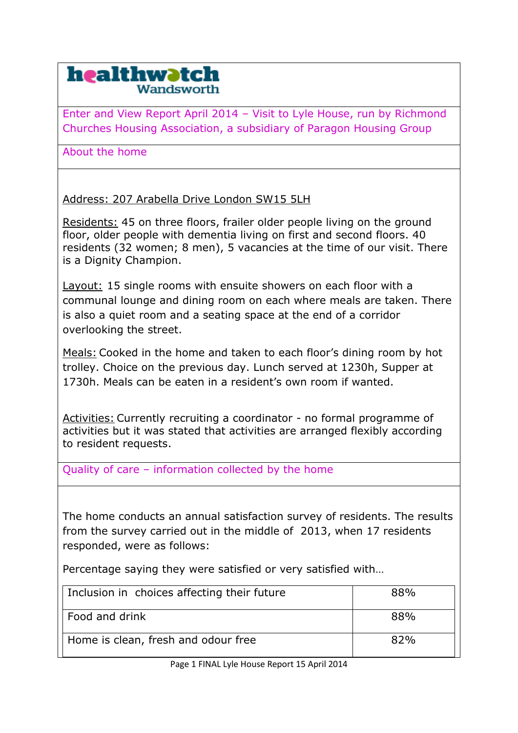## healthwatch Vandsworth

Enter and View Report April 2014 – Visit to Lyle House, run by Richmond Churches Housing Association, a subsidiary of Paragon Housing Group

About the home

Address: 207 Arabella Drive London SW15 5LH

Residents: 45 on three floors, frailer older people living on the ground floor, older people with dementia living on first and second floors. 40 residents (32 women; 8 men), 5 vacancies at the time of our visit. There is a Dignity Champion.

Layout: 15 single rooms with ensuite showers on each floor with a communal lounge and dining room on each where meals are taken. There is also a quiet room and a seating space at the end of a corridor overlooking the street.

Meals: Cooked in the home and taken to each floor's dining room by hot trolley. Choice on the previous day. Lunch served at 1230h, Supper at 1730h. Meals can be eaten in a resident's own room if wanted.

Activities: Currently recruiting a coordinator - no formal programme of activities but it was stated that activities are arranged flexibly according to resident requests.

Quality of care – information collected by the home

The home conducts an annual satisfaction survey of residents. The results from the survey carried out in the middle of 2013, when 17 residents responded, were as follows:

Percentage saying they were satisfied or very satisfied with…

| Inclusion in choices affecting their future | 88% |
|---------------------------------------------|-----|
| Food and drink                              | 88% |
| Home is clean, fresh and odour free         | 82% |

Page 1 FINAL Lyle House Report 15 April 2014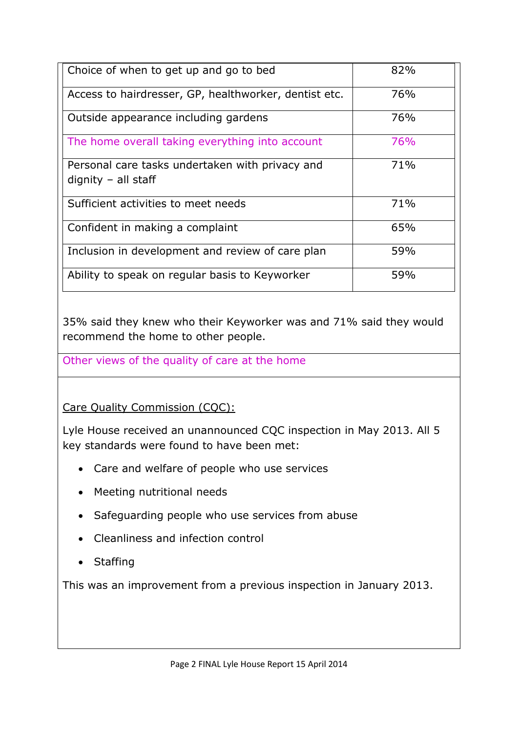| Choice of when to get up and go to bed                                   | 82% |
|--------------------------------------------------------------------------|-----|
| Access to hairdresser, GP, healthworker, dentist etc.                    | 76% |
| Outside appearance including gardens                                     | 76% |
| The home overall taking everything into account                          | 76% |
| Personal care tasks undertaken with privacy and<br>$diquity - all staff$ | 71% |
| Sufficient activities to meet needs                                      | 71% |
| Confident in making a complaint                                          | 65% |
| Inclusion in development and review of care plan                         | 59% |
| Ability to speak on regular basis to Keyworker                           | 59% |

35% said they knew who their Keyworker was and 71% said they would recommend the home to other people.

Other views of the quality of care at the home

Care Quality Commission (CQC):

Lyle House received an unannounced CQC inspection in May 2013. All 5 key standards were found to have been met:

- Care and welfare of people who use services
- Meeting nutritional needs
- Safeguarding people who use services from abuse
- Cleanliness and infection control
- Staffing

This was an improvement from a previous inspection in January 2013.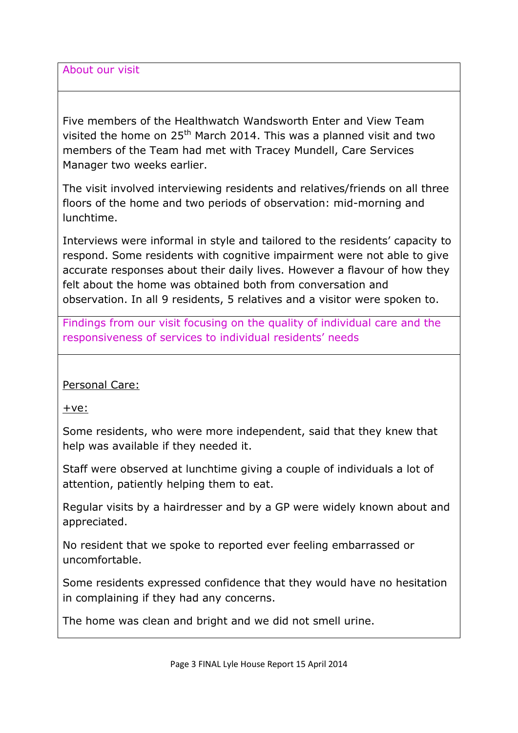About our visit

Five members of the Healthwatch Wandsworth Enter and View Team visited the home on  $25<sup>th</sup>$  March 2014. This was a planned visit and two members of the Team had met with Tracey Mundell, Care Services Manager two weeks earlier.

The visit involved interviewing residents and relatives/friends on all three floors of the home and two periods of observation: mid-morning and lunchtime.

Interviews were informal in style and tailored to the residents' capacity to respond. Some residents with cognitive impairment were not able to give accurate responses about their daily lives. However a flavour of how they felt about the home was obtained both from conversation and observation. In all 9 residents, 5 relatives and a visitor were spoken to.

Findings from our visit focusing on the quality of individual care and the responsiveness of services to individual residents' needs

## Personal Care:

 $+ve:$ 

Some residents, who were more independent, said that they knew that help was available if they needed it.

Staff were observed at lunchtime giving a couple of individuals a lot of attention, patiently helping them to eat.

Regular visits by a hairdresser and by a GP were widely known about and appreciated.

No resident that we spoke to reported ever feeling embarrassed or uncomfortable.

Some residents expressed confidence that they would have no hesitation in complaining if they had any concerns.

The home was clean and bright and we did not smell urine.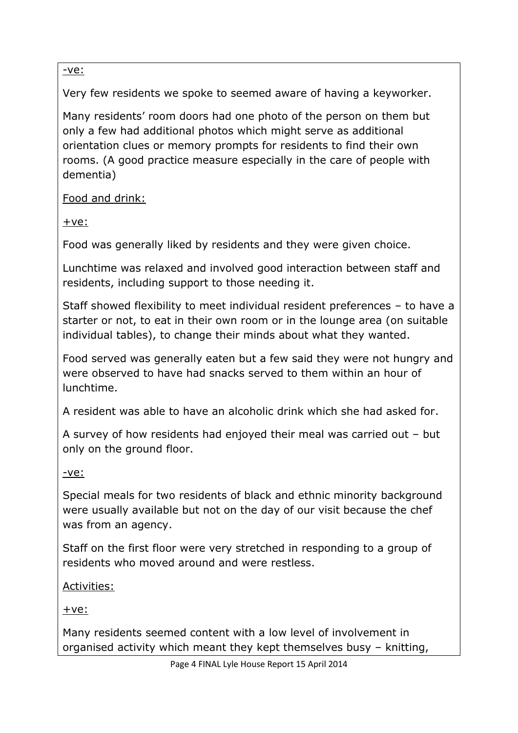-ve:

Very few residents we spoke to seemed aware of having a keyworker.

Many residents' room doors had one photo of the person on them but only a few had additional photos which might serve as additional orientation clues or memory prompts for residents to find their own rooms. (A good practice measure especially in the care of people with dementia)

Food and drink:

 $+ve:$ 

Food was generally liked by residents and they were given choice.

Lunchtime was relaxed and involved good interaction between staff and residents, including support to those needing it.

Staff showed flexibility to meet individual resident preferences – to have a starter or not, to eat in their own room or in the lounge area (on suitable individual tables), to change their minds about what they wanted.

Food served was generally eaten but a few said they were not hungry and were observed to have had snacks served to them within an hour of lunchtime.

A resident was able to have an alcoholic drink which she had asked for.

A survey of how residents had enjoyed their meal was carried out – but only on the ground floor.

-ve:

Special meals for two residents of black and ethnic minority background were usually available but not on the day of our visit because the chef was from an agency.

Staff on the first floor were very stretched in responding to a group of residents who moved around and were restless.

Activities:

+ve:

Many residents seemed content with a low level of involvement in organised activity which meant they kept themselves busy – knitting,

Page 4 FINAL Lyle House Report 15 April 2014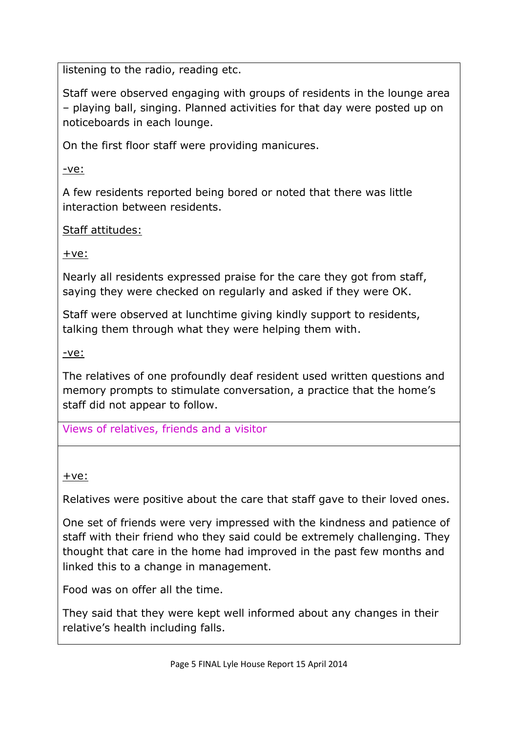listening to the radio, reading etc.

Staff were observed engaging with groups of residents in the lounge area – playing ball, singing. Planned activities for that day were posted up on noticeboards in each lounge.

On the first floor staff were providing manicures.

-ve:

A few residents reported being bored or noted that there was little interaction between residents.

## Staff attitudes:

 $+ve:$ 

Nearly all residents expressed praise for the care they got from staff, saying they were checked on regularly and asked if they were OK.

Staff were observed at lunchtime giving kindly support to residents, talking them through what they were helping them with.

-ve:

The relatives of one profoundly deaf resident used written questions and memory prompts to stimulate conversation, a practice that the home's staff did not appear to follow.

Views of relatives, friends and a visitor

+ve:

Relatives were positive about the care that staff gave to their loved ones.

One set of friends were very impressed with the kindness and patience of staff with their friend who they said could be extremely challenging. They thought that care in the home had improved in the past few months and linked this to a change in management.

Food was on offer all the time.

They said that they were kept well informed about any changes in their relative's health including falls.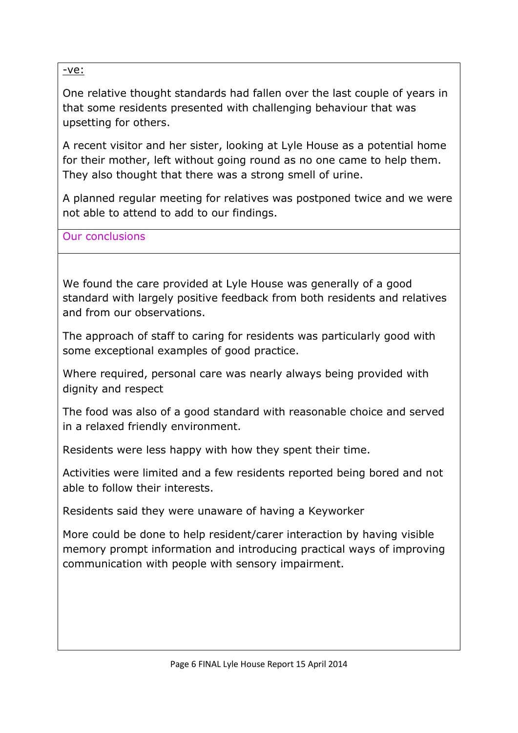-ve:

One relative thought standards had fallen over the last couple of years in that some residents presented with challenging behaviour that was upsetting for others.

A recent visitor and her sister, looking at Lyle House as a potential home for their mother, left without going round as no one came to help them. They also thought that there was a strong smell of urine.

A planned regular meeting for relatives was postponed twice and we were not able to attend to add to our findings.

Our conclusions

We found the care provided at Lyle House was generally of a good standard with largely positive feedback from both residents and relatives and from our observations.

The approach of staff to caring for residents was particularly good with some exceptional examples of good practice.

Where required, personal care was nearly always being provided with dignity and respect

The food was also of a good standard with reasonable choice and served in a relaxed friendly environment.

Residents were less happy with how they spent their time.

Activities were limited and a few residents reported being bored and not able to follow their interests.

Residents said they were unaware of having a Keyworker

More could be done to help resident/carer interaction by having visible memory prompt information and introducing practical ways of improving communication with people with sensory impairment.